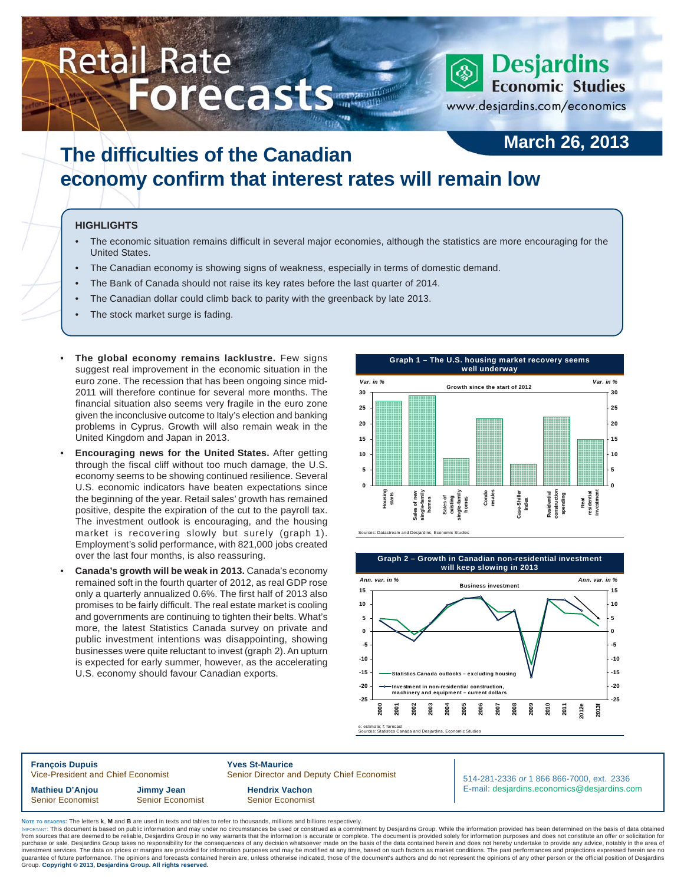# Retail Rate **Forecasts** March 2013 Response Economic Studies

# **March 26, 2013**

www.desjardins.com/economics

# **The difficulties of the Canadian economy confirm that interest rates will remain low**

#### **HIGHLIGHTS**

- The economic situation remains difficult in several major economies, although the statistics are more encouraging for the United States.
- The Canadian economy is showing signs of weakness, especially in terms of domestic demand.
- The Bank of Canada should not raise its key rates before the last quarter of 2014.
- The Canadian dollar could climb back to parity with the greenback by late 2013.
- The stock market surge is fading.
- **The global economy remains lacklustre.** Few signs suggest real improvement in the economic situation in the euro zone. The recession that has been ongoing since mid-2011 will therefore continue for several more months. The financial situation also seems very fragile in the euro zone given the inconclusive outcome to Italy's election and banking problems in Cyprus. Growth will also remain weak in the United Kingdom and Japan in 2013.
- **Encouraging news for the United States.** After getting through the fiscal cliff without too much damage, the U.S. economy seems to be showing continued resilience. Several U.S. economic indicators have beaten expectations since the beginning of the year. Retail sales' growth has remained positive, despite the expiration of the cut to the payroll tax. The investment outlook is encouraging, and the housing market is recovering slowly but surely (graph 1). Employment's solid performance, with 821,000 jobs created over the last four months, is also reassuring.
- **Canada's growth will be weak in 2013.** Canada's economy remained soft in the fourth quarter of 2012, as real GDP rose only a quarterly annualized 0.6%. The first half of 2013 also promises to be fairly difficult. The real estate market is cooling and governments are continuing to tighten their belts. What's more, the latest Statistics Canada survey on private and public investment intentions was disappointing, showing businesses were quite reluctant to invest (graph 2). An upturn is expected for early summer, however, as the accelerating U.S. economy should favour Canadian exports.







e: estimate; f: forecast Sources: Statistics Canada and Desjardins, Economic Studies

**François Dupuis 1988**<br>Vice-President and Chief Economist 1988 Senior Director and Chief Economist Senior Director and Deputy Chief Economist **Mathieu D'Anjou Jimmy Jean Hendrix Vachon** Senior Economist Senior Economist Senior Senior Economist

514-281-2336 *or* 1 866 866-7000, ext. 2336 E-mail: desjardins.economics@desjardins.com

**NOTE TO READERS:** The letters **k**, **M** and **B** are used in texts and tables to refer to thousands, millions and billions respectively.

purchase or sale. Desjardins Group takes no responsibility for the consequences of any decision whatsoever made on the basis of the data contained herein and does not hereby undertake to provide any advice, notably in the IMPORTANT: This document is based on public information and may under no circumstances be used or construed as a commitment by Desjardins Group. While the information provided has been determined on the basis of data obtai from sources that are deemed to be reliable, Desjardins Group in no way warrants that the information is accurate or complete. The document is provided solely for information purposes and does not constitute an offer or so Group. **Copyright © 2013, Desjardins Group. All rights reserved.**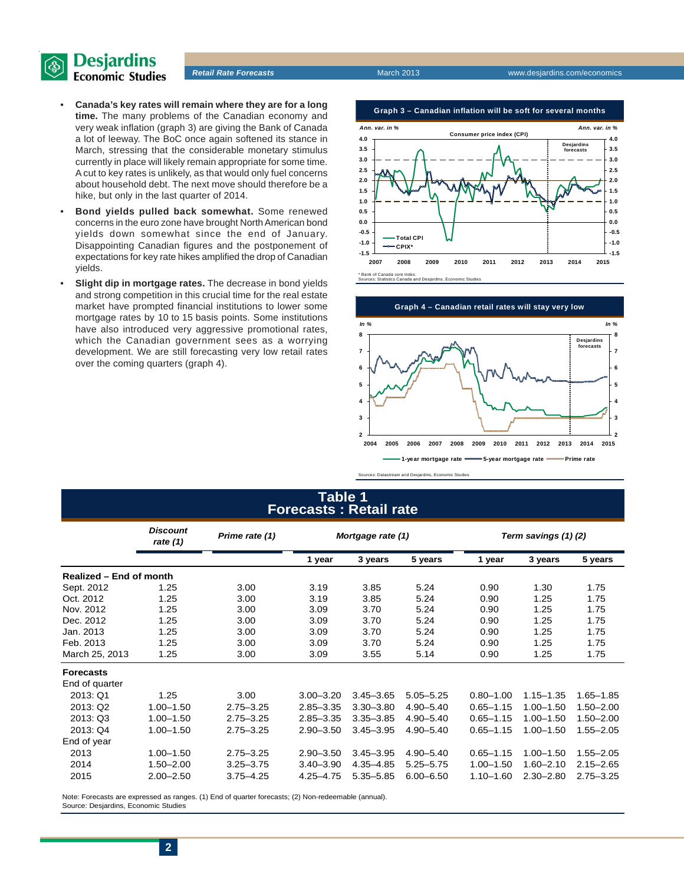

- **Canada's key rates will remain where they are for a long time.** The many problems of the Canadian economy and very weak inflation (graph 3) are giving the Bank of Canada a lot of leeway. The BoC once again softened its stance in March, stressing that the considerable monetary stimulus currently in place will likely remain appropriate for some time. A cut to key rates is unlikely, as that would only fuel concerns about household debt. The next move should therefore be a hike, but only in the last quarter of 2014.
- **Bond yields pulled back somewhat.** Some renewed concerns in the euro zone have brought North American bond yields down somewhat since the end of January. Disappointing Canadian figures and the postponement of expectations for key rate hikes amplified the drop of Canadian yields.
- **Slight dip in mortgage rates.** The decrease in bond yields and strong competition in this crucial time for the real estate market have prompted financial institutions to lower some mortgage rates by 10 to 15 basis points. Some institutions have also introduced very aggressive promotional rates, which the Canadian government sees as a worrying development. We are still forecasting very low retail rates over the coming quarters (graph 4).

**Graph 3 – Canadian inflation will be soft for several months**





## **Table 1 Forecasts : Retail rate**

|                         | <b>Discount</b><br>rate $(1)$ | Prime rate (1) | Mortgage rate (1) |               |               | Term savings (1)(2) |               |               |  |
|-------------------------|-------------------------------|----------------|-------------------|---------------|---------------|---------------------|---------------|---------------|--|
|                         |                               |                | 1 year            | 3 years       | 5 years       | 1 year              | 3 years       | 5 years       |  |
| Realized – End of month |                               |                |                   |               |               |                     |               |               |  |
| Sept. 2012              | 1.25                          | 3.00           | 3.19              | 3.85          | 5.24          | 0.90                | 1.30          | 1.75          |  |
| Oct. 2012               | 1.25                          | 3.00           | 3.19              | 3.85          | 5.24          | 0.90                | 1.25          | 1.75          |  |
| Nov. 2012               | 1.25                          | 3.00           | 3.09              | 3.70          | 5.24          | 0.90                | 1.25          | 1.75          |  |
| Dec. 2012               | 1.25                          | 3.00           | 3.09              | 3.70          | 5.24          | 0.90                | 1.25          | 1.75          |  |
| Jan. 2013               | 1.25                          | 3.00           | 3.09              | 3.70          | 5.24          | 0.90                | 1.25          | 1.75          |  |
| Feb. 2013               | 1.25                          | 3.00           | 3.09              | 3.70          | 5.24          | 0.90                | 1.25          | 1.75          |  |
| March 25, 2013          | 1.25                          | 3.00           | 3.09              | 3.55          | 5.14          | 0.90                | 1.25          | 1.75          |  |
| <b>Forecasts</b>        |                               |                |                   |               |               |                     |               |               |  |
| End of quarter          |                               |                |                   |               |               |                     |               |               |  |
| 2013: Q1                | 1.25                          | 3.00           | $3.00 - 3.20$     | $3.45 - 3.65$ | $5.05 - 5.25$ | $0.80 - 1.00$       | $1.15 - 1.35$ | $1.65 - 1.85$ |  |
| 2013: Q2                | $1.00 - 1.50$                 | $2.75 - 3.25$  | $2.85 - 3.35$     | $3.30 - 3.80$ | $4.90 - 5.40$ | $0.65 - 1.15$       | $1.00 - 1.50$ | $1.50 - 2.00$ |  |
| 2013: Q3                | $1.00 - 1.50$                 | $2.75 - 3.25$  | $2.85 - 3.35$     | $3.35 - 3.85$ | $4.90 - 5.40$ | $0.65 - 1.15$       | $1.00 - 1.50$ | $1.50 - 2.00$ |  |
| 2013: Q4                | $1.00 - 1.50$                 | $2.75 - 3.25$  | $2.90 - 3.50$     | $3.45 - 3.95$ | $4.90 - 5.40$ | $0.65 - 1.15$       | $1.00 - 1.50$ | $1.55 - 2.05$ |  |
| End of year             |                               |                |                   |               |               |                     |               |               |  |
| 2013                    | $1.00 - 1.50$                 | $2.75 - 3.25$  | $2.90 - 3.50$     | $3.45 - 3.95$ | $4.90 - 5.40$ | $0.65 - 1.15$       | $1.00 - 1.50$ | $1.55 - 2.05$ |  |
| 2014                    | $1.50 - 2.00$                 | $3.25 - 3.75$  | $3.40 - 3.90$     | $4.35 - 4.85$ | $5.25 - 5.75$ | $1.00 - 1.50$       | $1.60 - 2.10$ | $2.15 - 2.65$ |  |
| 2015                    | $2.00 - 2.50$                 | $3.75 - 4.25$  | $4.25 - 4.75$     | $5.35 - 5.85$ | $6.00 - 6.50$ | $1.10 - 1.60$       | $2.30 - 2.80$ | $2.75 - 3.25$ |  |

Note: Forecasts are expressed as ranges. (1) End of quarter forecasts; (2) Non-redeemable (annual). Source: Desjardins, Economic Studies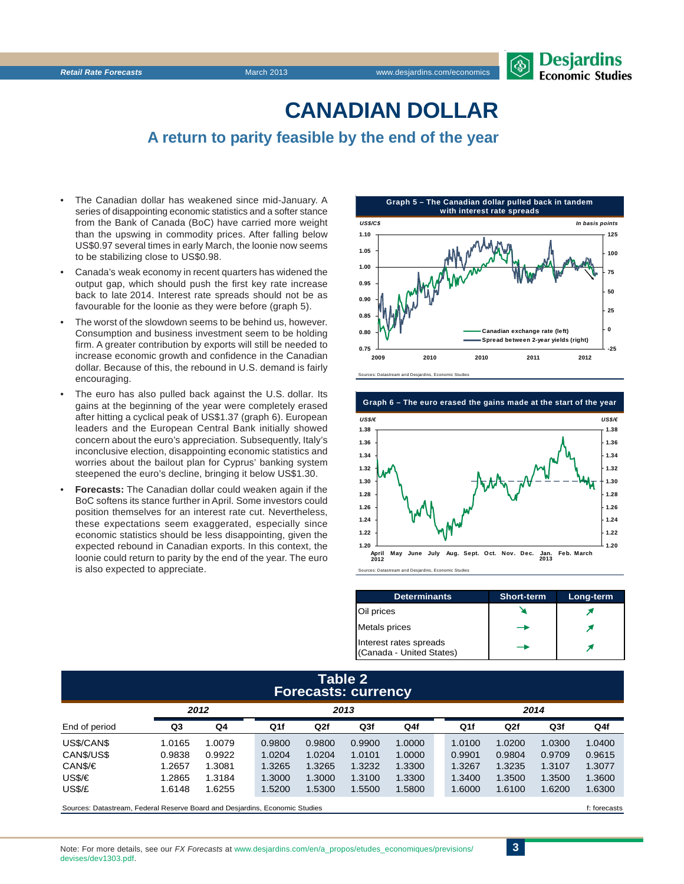# **CANADIAN DOLLAR**

# **A return to parity feasible by the end of the year**

- The Canadian dollar has weakened since mid-January. A series of disappointing economic statistics and a softer stance from the Bank of Canada (BoC) have carried more weight than the upswing in commodity prices. After falling below US\$0.97 several times in early March, the loonie now seems to be stabilizing close to US\$0.98.
- Canada's weak economy in recent quarters has widened the output gap, which should push the first key rate increase back to late 2014. Interest rate spreads should not be as favourable for the loonie as they were before (graph 5).
- The worst of the slowdown seems to be behind us, however. Consumption and business investment seem to be holding firm. A greater contribution by exports will still be needed to increase economic growth and confidence in the Canadian dollar. Because of this, the rebound in U.S. demand is fairly encouraging.
- The euro has also pulled back against the U.S. dollar. Its gains at the beginning of the year were completely erased after hitting a cyclical peak of US\$1.37 (graph 6). European leaders and the European Central Bank initially showed concern about the euro's appreciation. Subsequently, Italy's inconclusive election, disappointing economic statistics and worries about the bailout plan for Cyprus' banking system steepened the euro's decline, bringing it below US\$1.30.
- **Forecasts:** The Canadian dollar could weaken again if the BoC softens its stance further in April. Some investors could position themselves for an interest rate cut. Nevertheless, these expectations seem exaggerated, especially since economic statistics should be less disappointing, given the expected rebound in Canadian exports. In this context, the loonie could return to parity by the end of the year. The euro is also expected to appreciate.





| <b>Determinants</b>                                | <b>Short-term</b> | Long-term |
|----------------------------------------------------|-------------------|-----------|
| Oil prices                                         |                   |           |
| <b>Metals prices</b>                               |                   |           |
| Interest rates spreads<br>(Canada - United States) |                   |           |

#### **Table 2 Forecasts: currency**

|               | 2012   |        | 2013   |        |        |        | 2014 |        |        |        |        |
|---------------|--------|--------|--------|--------|--------|--------|------|--------|--------|--------|--------|
| End of period | Q3     | Q4     | Q1f    | Q2f    | Q3f    | Q4f    |      | Q1f    | Q2f    | Q3f    | Q4f    |
| US\$/CAN\$    | 1.0165 | 0079.  | 0.9800 | 0.9800 | 0.9900 | 1.0000 |      | 1.0100 | 1.0200 | 1.0300 | 1.0400 |
| CAN\$/US\$    | 0.9838 | 0.9922 | 1.0204 | 1.0204 | 1.0101 | 1.0000 |      | 0.9901 | 0.9804 | 0.9709 | 0.9615 |
| CAN\$/€       | 1.2657 | 1.3081 | 1.3265 | 1.3265 | 1.3232 | 1.3300 |      | 1.3267 | 1.3235 | 1.3107 | 1.3077 |
| USS/E         | 1.2865 | 1.3184 | 1.3000 | 1.3000 | 1.3100 | 1.3300 |      | 1.3400 | 1.3500 | 1.3500 | 1.3600 |
| US\$/£        | 1.6148 | .6255  | 1.5200 | 1.5300 | 1.5500 | 1.5800 |      | 1.6000 | 1.6100 | 1.6200 | 1.6300 |
|               |        |        |        |        |        |        |      |        |        |        |        |

Sources: Datastream, Federal Reserve Board and Desiardins, Economic Studies file of the studies file of the studies f: forecasts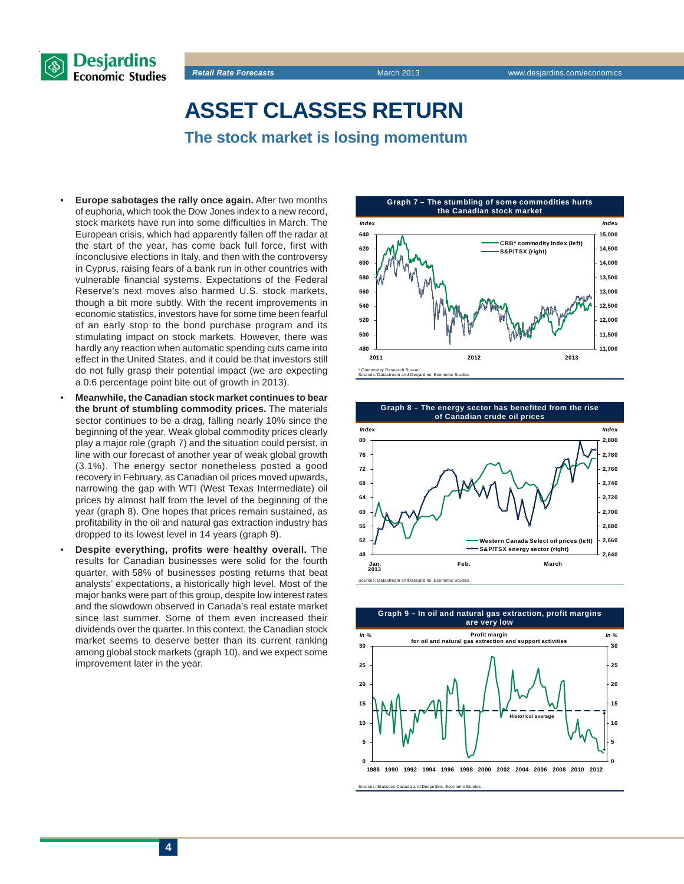

**ASSET CLASSES RETURN**

**The stock market is losing momentum**

- **Europe sabotages the rally once again.** After two months of euphoria, which took the Dow Jones index to a new record, stock markets have run into some difficulties in March. The European crisis, which had apparently fallen off the radar at the start of the year, has come back full force, first with inconclusive elections in Italy, and then with the controversy in Cyprus, raising fears of a bank run in other countries with vulnerable financial systems. Expectations of the Federal Reserve's next moves also harmed U.S. stock markets, though a bit more subtly. With the recent improvements in economic statistics, investors have for some time been fearful of an early stop to the bond purchase program and its stimulating impact on stock markets. However, there was hardly any reaction when automatic spending cuts came into effect in the United States, and it could be that investors still do not fully grasp their potential impact (we are expecting a 0.6 percentage point bite out of growth in 2013).
- **Meanwhile, the Canadian stock market continues to bear the brunt of stumbling commodity prices.** The materials sector continues to be a drag, falling nearly 10% since the beginning of the year. Weak global commodity prices clearly play a major role (graph 7) and the situation could persist, in line with our forecast of another year of weak global growth (3.1%). The energy sector nonetheless posted a good recovery in February, as Canadian oil prices moved upwards, narrowing the gap with WTI (West Texas Intermediate) oil prices by almost half from the level of the beginning of the year (graph 8). One hopes that prices remain sustained, as profitability in the oil and natural gas extraction industry has dropped to its lowest level in 14 years (graph 9).
- **Despite everything, profits were healthy overall.** The results for Canadian businesses were solid for the fourth quarter, with 58% of businesses posting returns that beat analysts' expectations, a historically high level. Most of the major banks were part of this group, despite low interest rates and the slowdown observed in Canada's real estate market since last summer. Some of them even increased their dividends over the quarter. In this context, the Canadian stock market seems to deserve better than its current ranking among global stock markets (graph 10), and we expect some improvement later in the year.

**Graph 7 – The stumbling of some commodities hurts the Canadian stock market**







Sources: Statistics Canada and Desjardins, Economic Studies